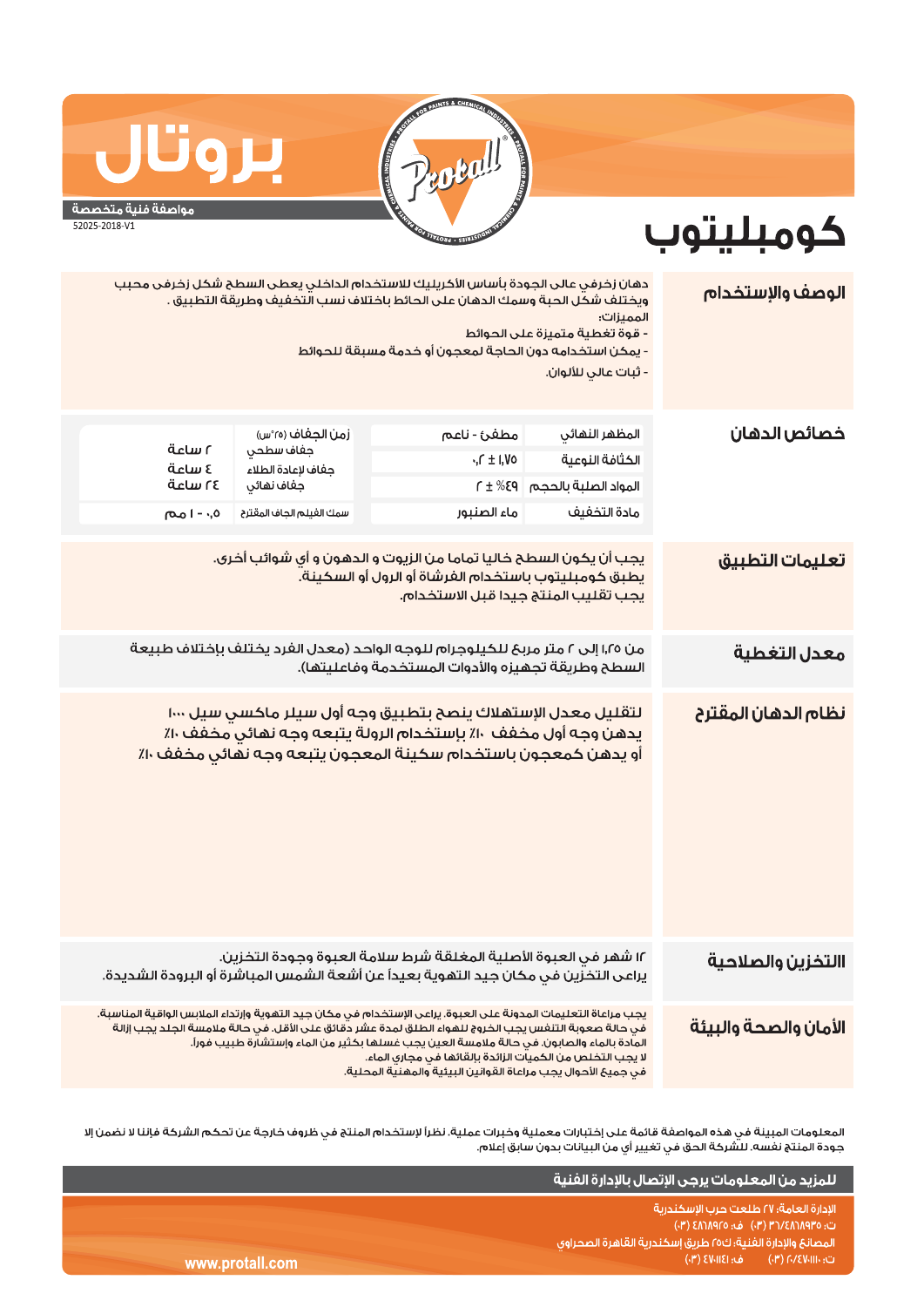

## مواصفة فنية متخصصة

بروت

52025-2018-V1

## كومبليتوب

| الوصف والإستخدام      | دهان زخرفي عالى الجودة باساس الأكريليك للاستخدام الداخلي يعطى السطح شكل زخرفى محبب<br>ويختلف شكَّل الحبة وسمك الدهان على الحائط باختلاف نسب الَّتخفيف وطريقة التطبيق .<br>الممىزات:<br>- قوة تغطية متميزة على الحوائط<br>- يمكن استخدامه دون الحاجة لمعجون أو خدمة مسبقة للحوائط<br>- ثبات عالى للألوان.                                                                                                                                  |                                                                                                                                                                                                   |                                  |                   |  |  |
|-----------------------|-------------------------------------------------------------------------------------------------------------------------------------------------------------------------------------------------------------------------------------------------------------------------------------------------------------------------------------------------------------------------------------------------------------------------------------------|---------------------------------------------------------------------------------------------------------------------------------------------------------------------------------------------------|----------------------------------|-------------------|--|--|
| خصائص الدهان          | المظهر النهائي                                                                                                                                                                                                                                                                                                                                                                                                                            | مطغئ - ناعم                                                                                                                                                                                       | زمن الجغاف (٢٥°س)                |                   |  |  |
|                       | الكثافة النوعية                                                                                                                                                                                                                                                                                                                                                                                                                           | $\cdot$ , $\Gamma \pm 1$ ,Vo                                                                                                                                                                      | جغاف سطحي                        | ةدلس ٢            |  |  |
|                       | المواد الصلبة بالحجم                                                                                                                                                                                                                                                                                                                                                                                                                      | $P3\% \pm 1$                                                                                                                                                                                      | جفاف لإعادة الطلاء<br>جفاف نهائى | ة ساعة<br>٢٤ ساعة |  |  |
|                       | مادة التخفيف                                                                                                                                                                                                                                                                                                                                                                                                                              | ماء الصنبور                                                                                                                                                                                       | سمك الغيلم الجاف المقترح         | ۰٫۵ - ا مم        |  |  |
|                       |                                                                                                                                                                                                                                                                                                                                                                                                                                           |                                                                                                                                                                                                   |                                  |                   |  |  |
| تعليمات التطبيق       | يجب أن يكون السطح خاليا تماما من الزيوت و الدهون و أي شوائب أخرى.<br>يطبق كومبليتوب باستخدام الفرشاة أو الرول أو السكينة.<br>يجب تقليب المنتج جيدا قبل الاستخدام.                                                                                                                                                                                                                                                                         |                                                                                                                                                                                                   |                                  |                   |  |  |
| معدل التغطية          | من ١,٢٥ إلى ٢ متر مربح للكيلوجرام للوجه الواحد (معدل الفرد يختلف بإختلاف طبيعة<br>السطح وطريقة تجهيزه والأدوات المستخدمة وفاعليتها).                                                                                                                                                                                                                                                                                                      |                                                                                                                                                                                                   |                                  |                   |  |  |
| نظام الدهان المقترح   |                                                                                                                                                                                                                                                                                                                                                                                                                                           | لتقليل معدل الإستهلاك ينصح بتطبيق وجه أول سيلر ماكسي سيل ١٠٠٠<br>يدهن وجه أول مخفف ١٠٪ بإستخدام الرولة يتبعه وجه نهائي مخفف ١٠٪<br>أو يدهن كمعجون باستخدام سكينة المعجون يتبعه وجه نهائي مخفف ١٠٪ |                                  |                   |  |  |
| االتخزين والصلاحية    |                                                                                                                                                                                                                                                                                                                                                                                                                                           | ١٢ شهر في العبوة الأصلية المغلقة شرط سلامة العبوة وجودة التخزين.<br>يراعى التخزين في مكان جيد التهوية بعيداً عن أشعة الشمس المباشرة أو البرودة الشديدة.                                           |                                  |                   |  |  |
| الأمان والصحة والبيئة | يجب مراعاة التعليمات المدونة على العبوة. يراعى الإستخدام في مكان جيد التهوية وإرتداء الملابس الواقية المناسبة.<br>فى حالة صعوبة التنفس يجب الخروج للهواء الطلق لمدة عشر دقائق على الأقل. فى حالة ملامسة الجلد يجب إزالة<br>المادة بالماء والصابون. في حالة ملامسة العين يجب غسلها بكثير من الماء وإستشارة طبيب فوراً.<br>لا يجب التخلص من الكميات الزائدة بإلقائها في مجاري الماء.<br>äuta mälis maärendustaansusta oli ole maaillee alla |                                                                                                                                                                                                   |                                  |                   |  |  |

المعلومات المبينة في هذه المواصفة قائمة على إختبارات معملية وخبرات عملية. نظراً لإستخدام المنتج في ظروف خارجة عن تحكم الشركة فإننا لا نضمن إلا جودة المنتج نفسه. للشركة الحق في تغيير أي من البيانات بدون سابق إعلام.

|                 | اللمزيد من المعلومات يرجى الإتصال بالإدارة الفنية                                                     |
|-----------------|-------------------------------------------------------------------------------------------------------|
|                 | الادارة العامة؛ ٢٧ طلعت حرب الاسكندرية<br>ت: ٢٥/٨٩/٥/٤٨٦/٨٩٣٥ (٣٠) ف: ٤٨٦/٨٩٢٥ (٣٠)                   |
|                 | المصانع والإدارة الفنية؛ ك٥٥ طريق إسكندرية القاهرة الصحراوى                                           |
| www.protall.com | ف: EV-IIEI) - ف<br>$\mathcal{C} = \mathcal{C}(\mathbb{P}^1)$ (۳) او (۳) ک $\mathcal{C}(\mathbb{P}^2)$ |